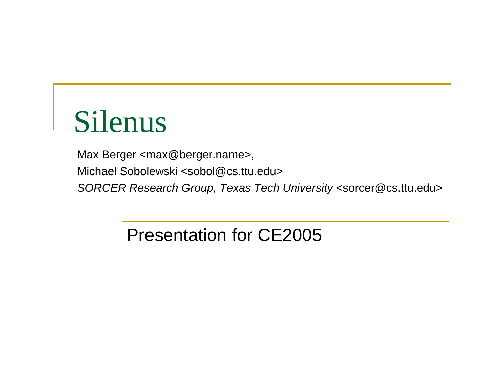# Silenus

Max Berger <max@berger.name>, Michael Sobolewski <sobol@cs.ttu.edu> *SORCER Research Group, Texas Tech University* <sorcer@cs.ttu.edu>

Presentation for CE2005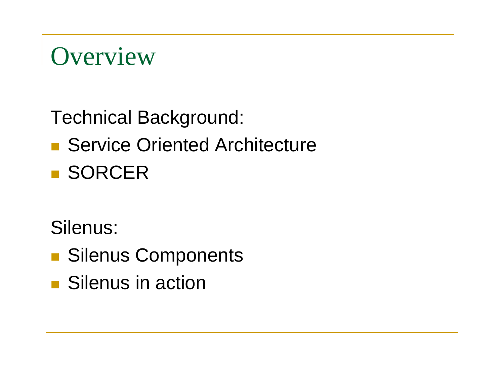

Technical Background:

#### ■ Service Oriented Architecture

**BISORCER** 

Silenus:

- **Silenus Components**
- **Silenus in action**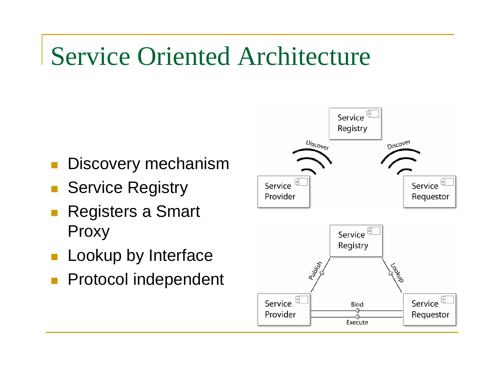## Service Oriented Architecture

- Discovery mechanism
- Service Registry
- Registers a Smart Proxy
- **Lookup by Interface**
- $\overline{\phantom{a}}$ Protocol independent

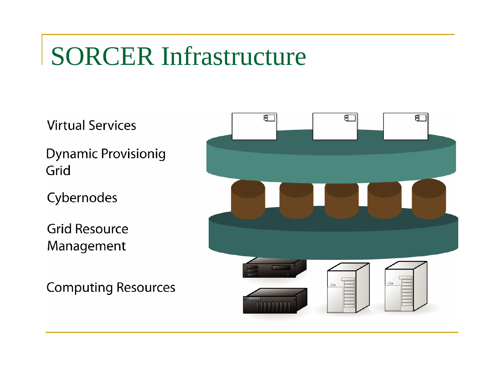## SORCER Infrastructure

**Virtual Services** 

**Dynamic Provisionig** Grid

Cybernodes

**Grid Resource** Management

**Computing Resources** 

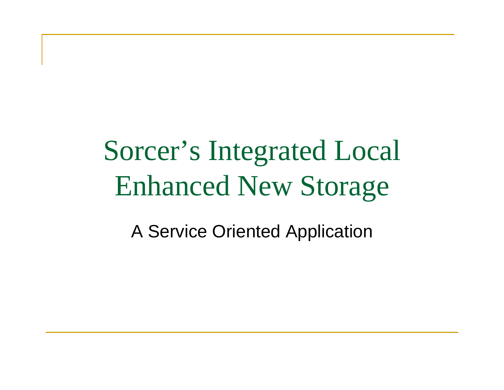# Sorcer's Integrated Local Enhanced New Storage

A Service Oriented Application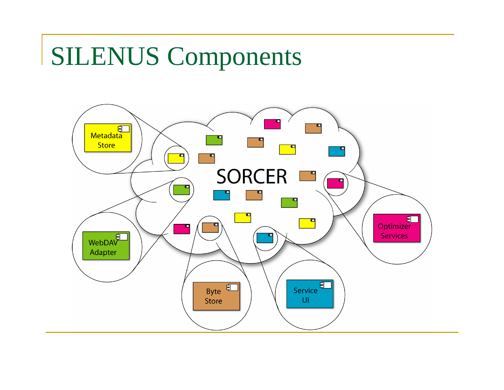#### SILENUS Components

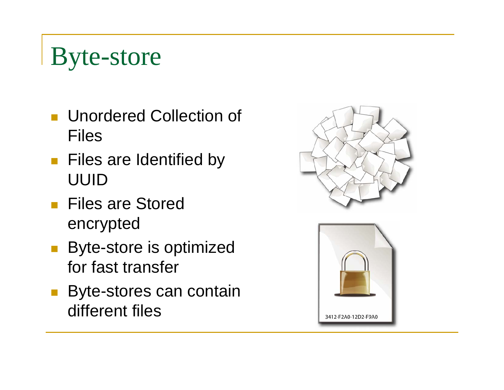### Byte-store

- **Unordered Collection of** Files
- **Files are Identified by** UUID
- **Files are Stored** encrypted
- **Byte-store is optimized** for fast transfer
- **Byte-stores can contain** different files



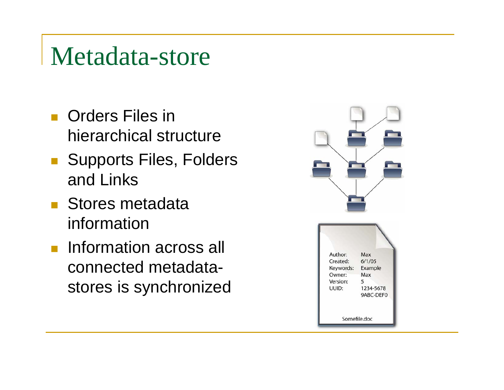#### Metadata-store

- **D** Orders Files in hierarchical structure
- Supports Files, Folders and Links
- **Stores metadata** information
- $\mathcal{L}^{\mathcal{A}}$  Information across all connected metadatastores is synchronized

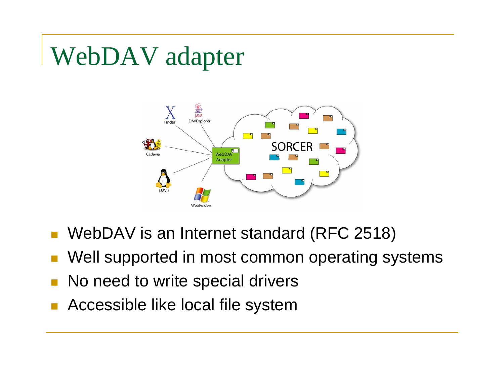## WebDAV adapter



- WebDAV is an Internet standard (RFC 2518)
- Well supported in most common operating systems
- No need to write special drivers
- Accessible like local file system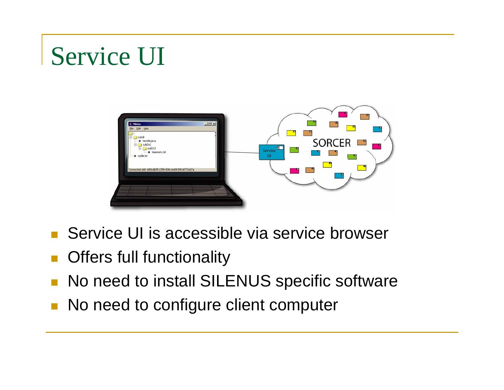## Service UI



- Service UI is accessible via service browser
- Offers full functionality
- No need to install SILENUS specific software
- **No need to configure client computer**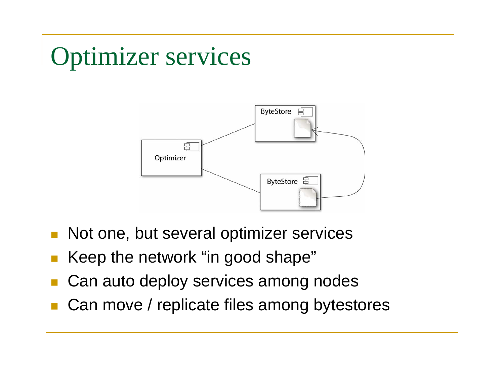## Optimizer services



- Not one, but several optimizer services
- Keep the network "in good shape"
- Can auto deploy services among nodes
- Can move / replicate files among bytestores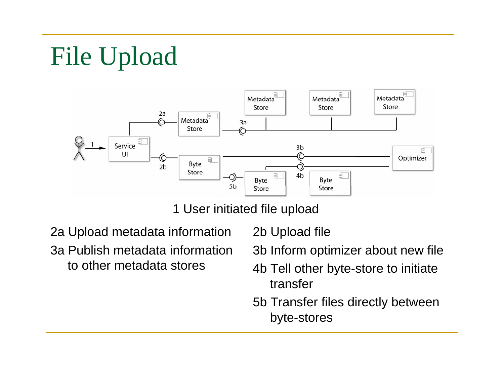# File Upload



1 User initiated file upload

2a Upload metadata information 3a Publish metadata information to other metadata stores

2b Upload file

3b Inform optimizer about new file

- 4b Tell other byte-store to initiate transfer
- 5b Transfer files directly between byte-stores